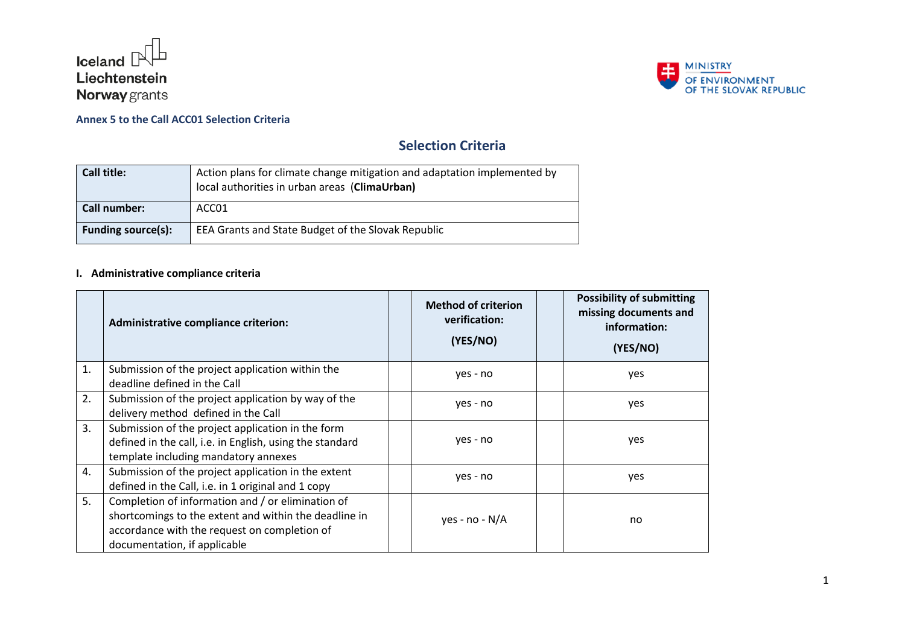



# **Selection Criteria**

| Call title:               | Action plans for climate change mitigation and adaptation implemented by<br>local authorities in urban areas (ClimaUrban) |
|---------------------------|---------------------------------------------------------------------------------------------------------------------------|
| Call number:              | ACC01                                                                                                                     |
| <b>Funding source(s):</b> | EEA Grants and State Budget of the Slovak Republic                                                                        |

## **I. Administrative compliance criteria**

|    | Administrative compliance criterion:                                                                                                                                                       | <b>Method of criterion</b><br>verification:<br>(YES/NO) | <b>Possibility of submitting</b><br>missing documents and<br>information:<br>(YES/NO) |
|----|--------------------------------------------------------------------------------------------------------------------------------------------------------------------------------------------|---------------------------------------------------------|---------------------------------------------------------------------------------------|
| 1. | Submission of the project application within the<br>deadline defined in the Call                                                                                                           | yes - no                                                | yes                                                                                   |
| 2. | Submission of the project application by way of the<br>delivery method defined in the Call                                                                                                 | yes - no                                                | yes                                                                                   |
| 3. | Submission of the project application in the form<br>defined in the call, i.e. in English, using the standard<br>template including mandatory annexes                                      | yes - no                                                | yes                                                                                   |
| 4. | Submission of the project application in the extent<br>defined in the Call, i.e. in 1 original and 1 copy                                                                                  | yes - no                                                | yes                                                                                   |
| 5. | Completion of information and / or elimination of<br>shortcomings to the extent and within the deadline in<br>accordance with the request on completion of<br>documentation, if applicable | yes - no - N/A                                          | no                                                                                    |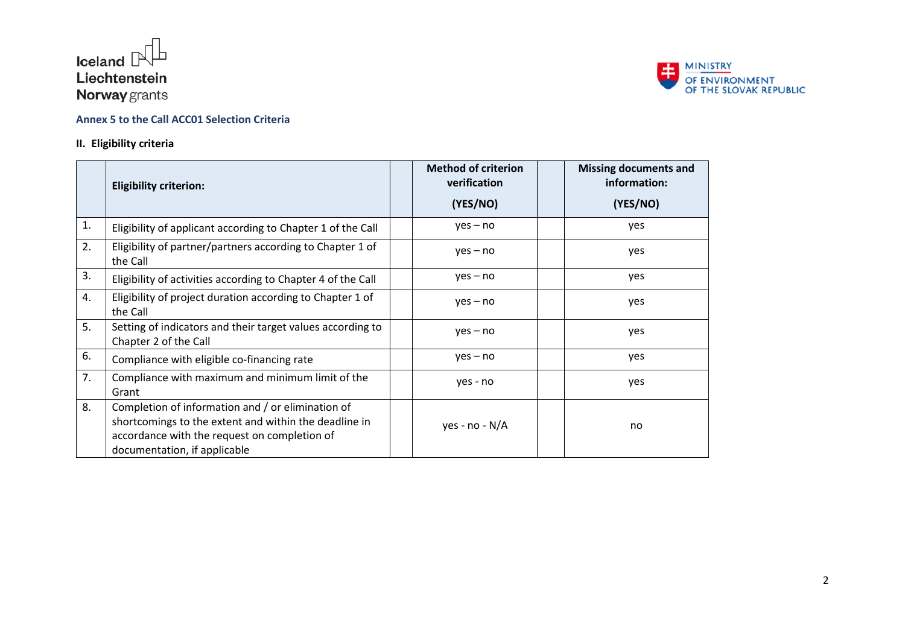



### **II. Eligibility criteria**

|    | <b>Eligibility criterion:</b>                                                                                                                                                              | <b>Method of criterion</b><br>verification | <b>Missing documents and</b><br>information: |
|----|--------------------------------------------------------------------------------------------------------------------------------------------------------------------------------------------|--------------------------------------------|----------------------------------------------|
|    |                                                                                                                                                                                            | (YES/NO)                                   | (YES/NO)                                     |
| 1. | Eligibility of applicant according to Chapter 1 of the Call                                                                                                                                | $yes - no$                                 | yes                                          |
| 2. | Eligibility of partner/partners according to Chapter 1 of<br>the Call                                                                                                                      | $yes - no$                                 | yes                                          |
| 3. | Eligibility of activities according to Chapter 4 of the Call                                                                                                                               | $yes - no$                                 | yes                                          |
| 4. | Eligibility of project duration according to Chapter 1 of<br>the Call                                                                                                                      | $yes - no$                                 | yes                                          |
| 5. | Setting of indicators and their target values according to<br>Chapter 2 of the Call                                                                                                        | $yes - no$                                 | yes                                          |
| 6. | Compliance with eligible co-financing rate                                                                                                                                                 | $yes - no$                                 | yes                                          |
| 7. | Compliance with maximum and minimum limit of the<br>Grant                                                                                                                                  | yes - no                                   | yes                                          |
| 8. | Completion of information and / or elimination of<br>shortcomings to the extent and within the deadline in<br>accordance with the request on completion of<br>documentation, if applicable | yes - no - $N/A$                           | no                                           |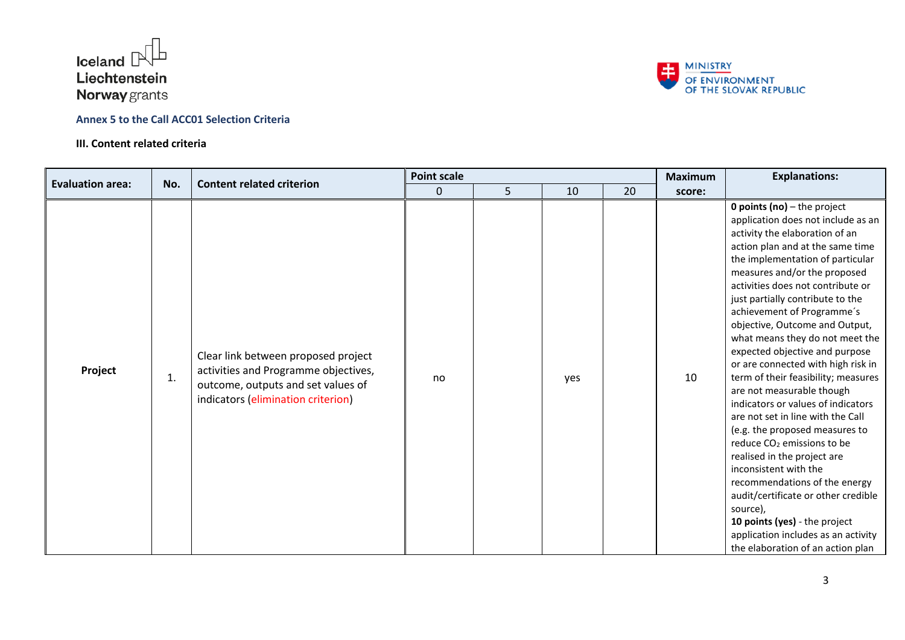

#### **III. Content related criteria**



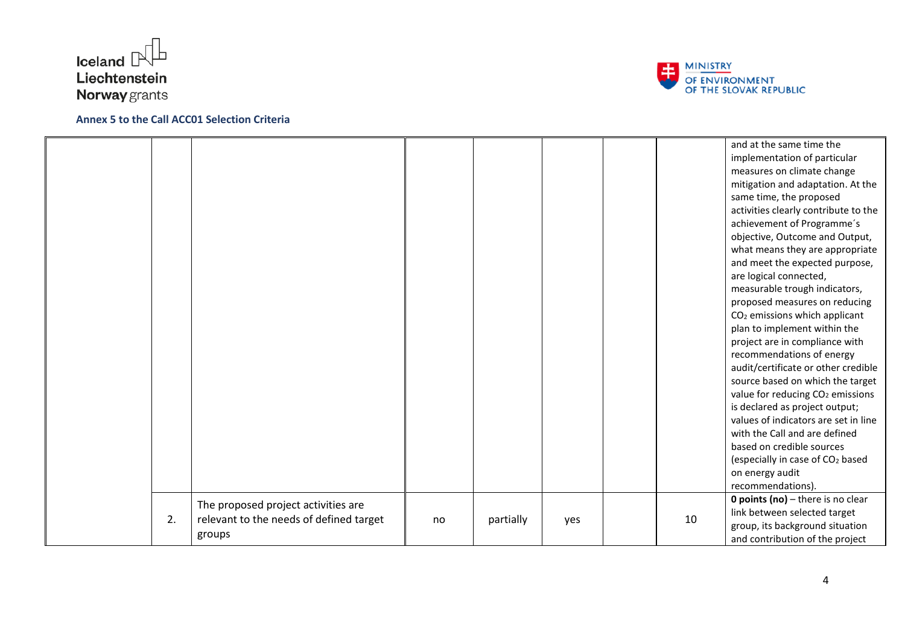



|    |                                         |    |           |     |    | and at the same time the                     |
|----|-----------------------------------------|----|-----------|-----|----|----------------------------------------------|
|    |                                         |    |           |     |    | implementation of particular                 |
|    |                                         |    |           |     |    | measures on climate change                   |
|    |                                         |    |           |     |    | mitigation and adaptation. At the            |
|    |                                         |    |           |     |    | same time, the proposed                      |
|    |                                         |    |           |     |    | activities clearly contribute to the         |
|    |                                         |    |           |     |    | achievement of Programme's                   |
|    |                                         |    |           |     |    | objective, Outcome and Output,               |
|    |                                         |    |           |     |    | what means they are appropriate              |
|    |                                         |    |           |     |    | and meet the expected purpose,               |
|    |                                         |    |           |     |    | are logical connected,                       |
|    |                                         |    |           |     |    | measurable trough indicators,                |
|    |                                         |    |           |     |    | proposed measures on reducing                |
|    |                                         |    |           |     |    | CO <sub>2</sub> emissions which applicant    |
|    |                                         |    |           |     |    | plan to implement within the                 |
|    |                                         |    |           |     |    | project are in compliance with               |
|    |                                         |    |           |     |    | recommendations of energy                    |
|    |                                         |    |           |     |    | audit/certificate or other credible          |
|    |                                         |    |           |     |    | source based on which the target             |
|    |                                         |    |           |     |    | value for reducing CO <sub>2</sub> emissions |
|    |                                         |    |           |     |    | is declared as project output;               |
|    |                                         |    |           |     |    | values of indicators are set in line         |
|    |                                         |    |           |     |    | with the Call and are defined                |
|    |                                         |    |           |     |    | based on credible sources                    |
|    |                                         |    |           |     |    | (especially in case of CO <sub>2</sub> based |
|    |                                         |    |           |     |    | on energy audit                              |
|    |                                         |    |           |     |    | recommendations).                            |
|    | The proposed project activities are     |    |           |     |    | <b>0 points (no)</b> $-$ there is no clear   |
| 2. | relevant to the needs of defined target | no | partially | yes | 10 | link between selected target                 |
|    |                                         |    |           |     |    | group, its background situation              |
|    | groups                                  |    |           |     |    | and contribution of the project              |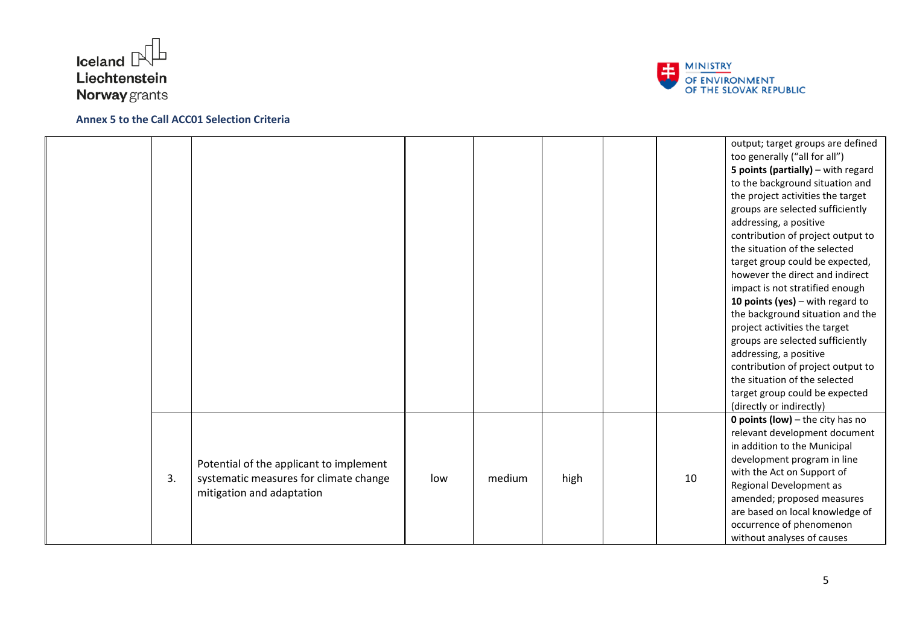



|    |                                                                                                                |     |        |      |    | output; target groups are defined<br>too generally ("all for all")<br>5 points (partially) - with regard<br>to the background situation and<br>the project activities the target<br>groups are selected sufficiently<br>addressing, a positive<br>contribution of project output to<br>the situation of the selected<br>target group could be expected,<br>however the direct and indirect<br>impact is not stratified enough<br>10 points (yes) $-$ with regard to<br>the background situation and the<br>project activities the target<br>groups are selected sufficiently<br>addressing, a positive<br>contribution of project output to<br>the situation of the selected<br>target group could be expected<br>(directly or indirectly) |
|----|----------------------------------------------------------------------------------------------------------------|-----|--------|------|----|--------------------------------------------------------------------------------------------------------------------------------------------------------------------------------------------------------------------------------------------------------------------------------------------------------------------------------------------------------------------------------------------------------------------------------------------------------------------------------------------------------------------------------------------------------------------------------------------------------------------------------------------------------------------------------------------------------------------------------------------|
| 3. | Potential of the applicant to implement<br>systematic measures for climate change<br>mitigation and adaptation | low | medium | high | 10 | <b>0 points (low)</b> $-$ the city has no<br>relevant development document<br>in addition to the Municipal<br>development program in line<br>with the Act on Support of<br>Regional Development as<br>amended; proposed measures<br>are based on local knowledge of<br>occurrence of phenomenon<br>without analyses of causes                                                                                                                                                                                                                                                                                                                                                                                                              |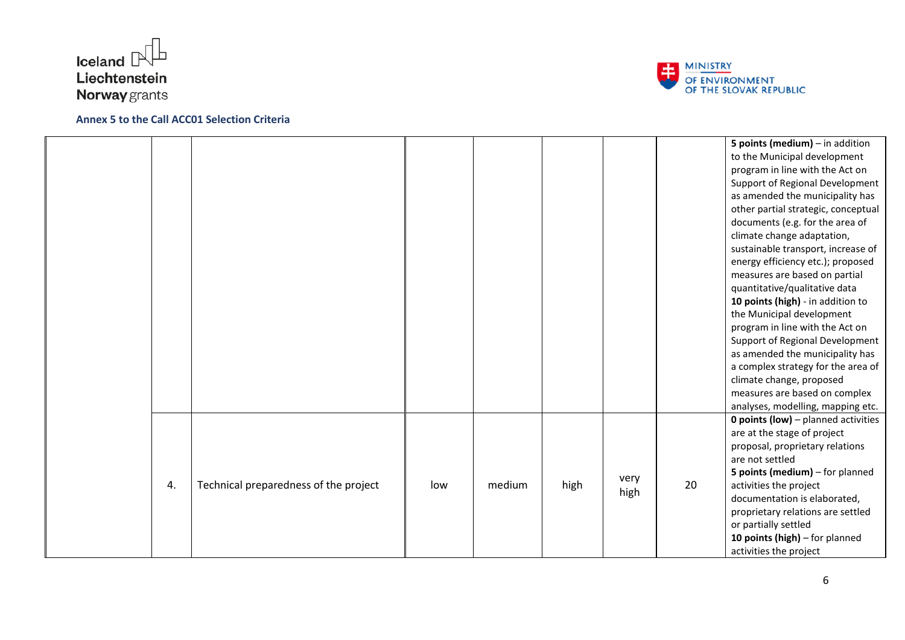



|    |                                       |     |        |      |              |    | 5 points (medium) $-$ in addition<br>to the Municipal development<br>program in line with the Act on<br>Support of Regional Development<br>as amended the municipality has<br>other partial strategic, conceptual<br>documents (e.g. for the area of<br>climate change adaptation,<br>sustainable transport, increase of<br>energy efficiency etc.); proposed<br>measures are based on partial<br>quantitative/qualitative data<br>10 points (high) - in addition to<br>the Municipal development<br>program in line with the Act on<br>Support of Regional Development<br>as amended the municipality has |
|----|---------------------------------------|-----|--------|------|--------------|----|------------------------------------------------------------------------------------------------------------------------------------------------------------------------------------------------------------------------------------------------------------------------------------------------------------------------------------------------------------------------------------------------------------------------------------------------------------------------------------------------------------------------------------------------------------------------------------------------------------|
| 4. | Technical preparedness of the project | low | medium | high | very<br>high | 20 | climate change, proposed<br>measures are based on complex<br>analyses, modelling, mapping etc.<br><b>0 points (low)</b> - planned activities<br>are at the stage of project<br>proposal, proprietary relations<br>are not settled<br>5 points (medium) - for planned<br>activities the project<br>documentation is elaborated,<br>proprietary relations are settled<br>or partially settled<br>10 points (high) - for planned<br>activities the project                                                                                                                                                    |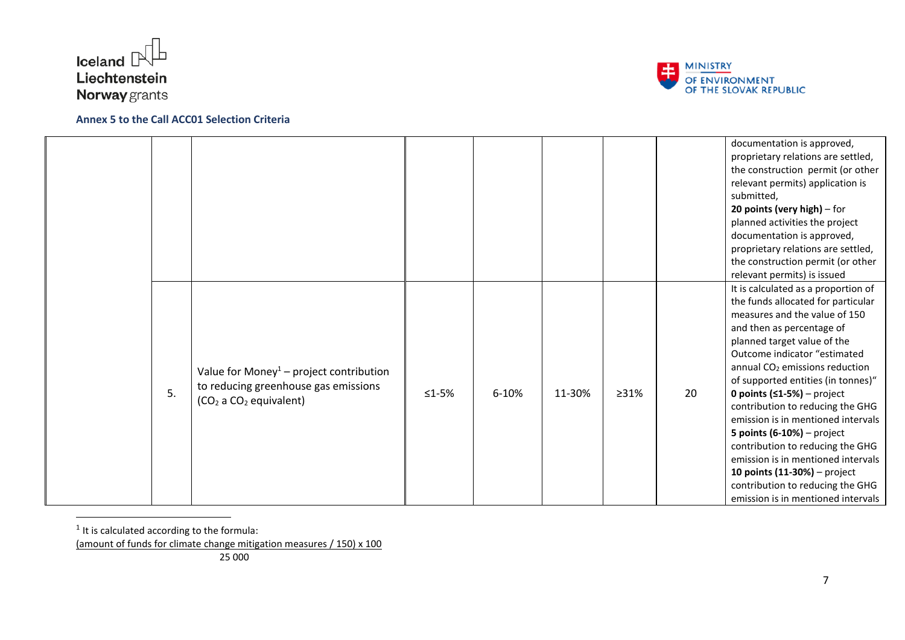



|    |                                                                                                                                               |             |       |        |      |    | documentation is approved,<br>proprietary relations are settled,<br>the construction permit (or other<br>relevant permits) application is<br>submitted,<br>20 points (very high) $-$ for<br>planned activities the project                                                                                                                                                                                                                                                                                                                                                                                               |
|----|-----------------------------------------------------------------------------------------------------------------------------------------------|-------------|-------|--------|------|----|--------------------------------------------------------------------------------------------------------------------------------------------------------------------------------------------------------------------------------------------------------------------------------------------------------------------------------------------------------------------------------------------------------------------------------------------------------------------------------------------------------------------------------------------------------------------------------------------------------------------------|
|    |                                                                                                                                               |             |       |        |      |    | documentation is approved,<br>proprietary relations are settled,                                                                                                                                                                                                                                                                                                                                                                                                                                                                                                                                                         |
|    |                                                                                                                                               |             |       |        |      |    | the construction permit (or other<br>relevant permits) is issued                                                                                                                                                                                                                                                                                                                                                                                                                                                                                                                                                         |
| 5. | Value for Money <sup>1</sup> – project contribution<br>to reducing greenhouse gas emissions<br>(CO <sub>2</sub> a CO <sub>2</sub> equivalent) | $\leq$ 1-5% | 6-10% | 11-30% | >31% | 20 | It is calculated as a proportion of<br>the funds allocated for particular<br>measures and the value of 150<br>and then as percentage of<br>planned target value of the<br>Outcome indicator "estimated<br>annual CO <sub>2</sub> emissions reduction<br>of supported entities (in tonnes)"<br>0 points $(51-5%)$ – project<br>contribution to reducing the GHG<br>emission is in mentioned intervals<br>5 points $(6-10%)$ – project<br>contribution to reducing the GHG<br>emission is in mentioned intervals<br>10 points (11-30%) - project<br>contribution to reducing the GHG<br>emission is in mentioned intervals |

 $<sup>1</sup>$  It is calculated according to the formula:</sup>

 $\overline{a}$ 

<sup>(</sup>amount of funds for climate change mitigation measures / 150) x 100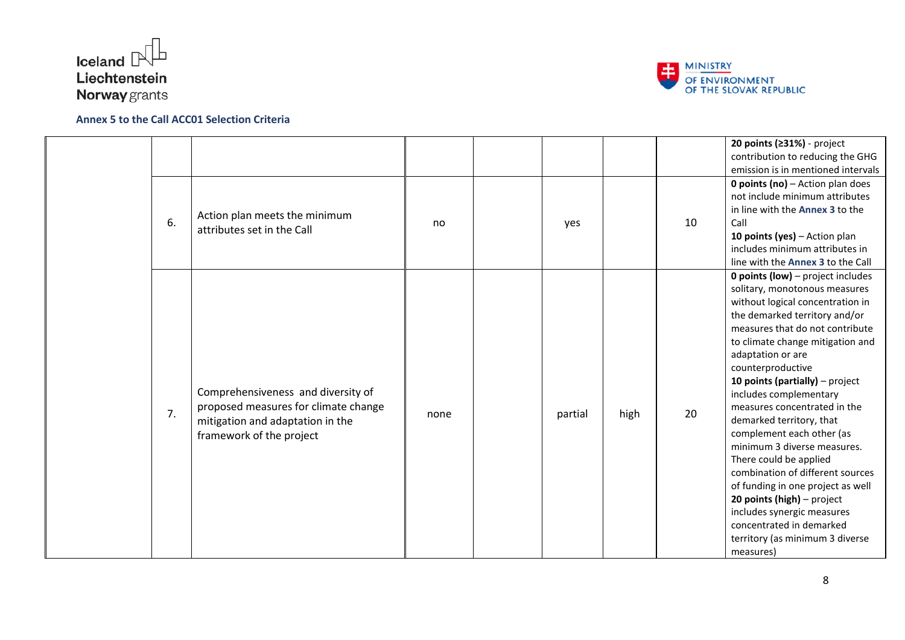



|    |                                                                                                                                            |      |         |      |    | 20 points (≥31%) - project<br>contribution to reducing the GHG<br>emission is in mentioned intervals                                                                                                                                                                                                                                                                                                                                                                                                                                                                                                                                                                                              |
|----|--------------------------------------------------------------------------------------------------------------------------------------------|------|---------|------|----|---------------------------------------------------------------------------------------------------------------------------------------------------------------------------------------------------------------------------------------------------------------------------------------------------------------------------------------------------------------------------------------------------------------------------------------------------------------------------------------------------------------------------------------------------------------------------------------------------------------------------------------------------------------------------------------------------|
| 6. | Action plan meets the minimum<br>attributes set in the Call                                                                                | no   | yes     |      | 10 | <b>0 points (no)</b> $-$ Action plan does<br>not include minimum attributes<br>in line with the Annex 3 to the<br>Call<br>10 points (yes) - Action plan<br>includes minimum attributes in<br>line with the Annex 3 to the Call                                                                                                                                                                                                                                                                                                                                                                                                                                                                    |
| 7. | Comprehensiveness and diversity of<br>proposed measures for climate change<br>mitigation and adaptation in the<br>framework of the project | none | partial | high | 20 | <b>0 points (low)</b> – project includes<br>solitary, monotonous measures<br>without logical concentration in<br>the demarked territory and/or<br>measures that do not contribute<br>to climate change mitigation and<br>adaptation or are<br>counterproductive<br>10 points (partially) $-$ project<br>includes complementary<br>measures concentrated in the<br>demarked territory, that<br>complement each other (as<br>minimum 3 diverse measures.<br>There could be applied<br>combination of different sources<br>of funding in one project as well<br>20 points (high) - project<br>includes synergic measures<br>concentrated in demarked<br>territory (as minimum 3 diverse<br>measures) |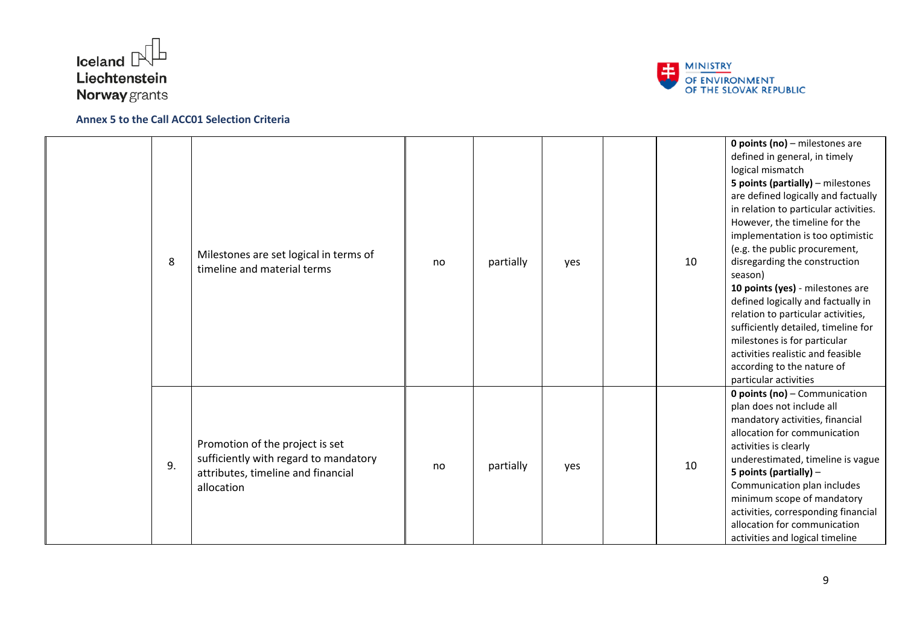



| 8  | Milestones are set logical in terms of<br>timeline and material terms                                                        | no | partially | yes | 10 | <b>0 points (no)</b> $-$ milestones are<br>defined in general, in timely<br>logical mismatch<br>5 points (partially) - milestones<br>are defined logically and factually<br>in relation to particular activities.<br>However, the timeline for the<br>implementation is too optimistic<br>(e.g. the public procurement,<br>disregarding the construction<br>season)<br>10 points (yes) - milestones are<br>defined logically and factually in<br>relation to particular activities,<br>sufficiently detailed, timeline for<br>milestones is for particular<br>activities realistic and feasible<br>according to the nature of<br>particular activities |
|----|------------------------------------------------------------------------------------------------------------------------------|----|-----------|-----|----|--------------------------------------------------------------------------------------------------------------------------------------------------------------------------------------------------------------------------------------------------------------------------------------------------------------------------------------------------------------------------------------------------------------------------------------------------------------------------------------------------------------------------------------------------------------------------------------------------------------------------------------------------------|
| 9. | Promotion of the project is set<br>sufficiently with regard to mandatory<br>attributes, timeline and financial<br>allocation | no | partially | yes | 10 | 0 points (no) - Communication<br>plan does not include all<br>mandatory activities, financial<br>allocation for communication<br>activities is clearly<br>underestimated, timeline is vague<br>5 points (partially) -<br>Communication plan includes<br>minimum scope of mandatory<br>activities, corresponding financial<br>allocation for communication<br>activities and logical timeline                                                                                                                                                                                                                                                           |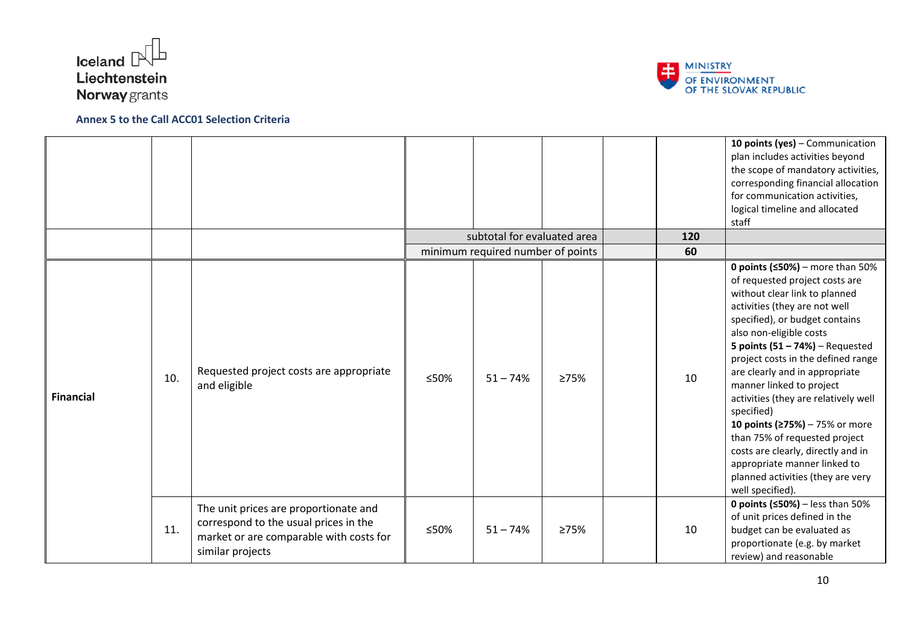



|                  |     |                                                                                                                                               |      | subtotal for evaluated area<br>minimum required number of points |      | 120<br>60 | 10 points (yes) - Communication<br>plan includes activities beyond<br>the scope of mandatory activities,<br>corresponding financial allocation<br>for communication activities,<br>logical timeline and allocated<br>staff                                                                                                                                                                                                                                                                                                                                                                               |
|------------------|-----|-----------------------------------------------------------------------------------------------------------------------------------------------|------|------------------------------------------------------------------|------|-----------|----------------------------------------------------------------------------------------------------------------------------------------------------------------------------------------------------------------------------------------------------------------------------------------------------------------------------------------------------------------------------------------------------------------------------------------------------------------------------------------------------------------------------------------------------------------------------------------------------------|
| <b>Financial</b> | 10. | Requested project costs are appropriate<br>and eligible                                                                                       | ≤50% | $51 - 74%$                                                       | ≥75% | 10        | 0 points ( $\leq$ 50%) – more than 50%<br>of requested project costs are<br>without clear link to planned<br>activities (they are not well<br>specified), or budget contains<br>also non-eligible costs<br>5 points $(51 - 74%)$ – Requested<br>project costs in the defined range<br>are clearly and in appropriate<br>manner linked to project<br>activities (they are relatively well<br>specified)<br>10 points (≥75%) - 75% or more<br>than 75% of requested project<br>costs are clearly, directly and in<br>appropriate manner linked to<br>planned activities (they are very<br>well specified). |
|                  | 11. | The unit prices are proportionate and<br>correspond to the usual prices in the<br>market or are comparable with costs for<br>similar projects | ≤50% | $51 - 74%$                                                       | ≥75% | 10        | <b>0 points (<math>\leq</math>50%)</b> – less than 50%<br>of unit prices defined in the<br>budget can be evaluated as<br>proportionate (e.g. by market<br>review) and reasonable                                                                                                                                                                                                                                                                                                                                                                                                                         |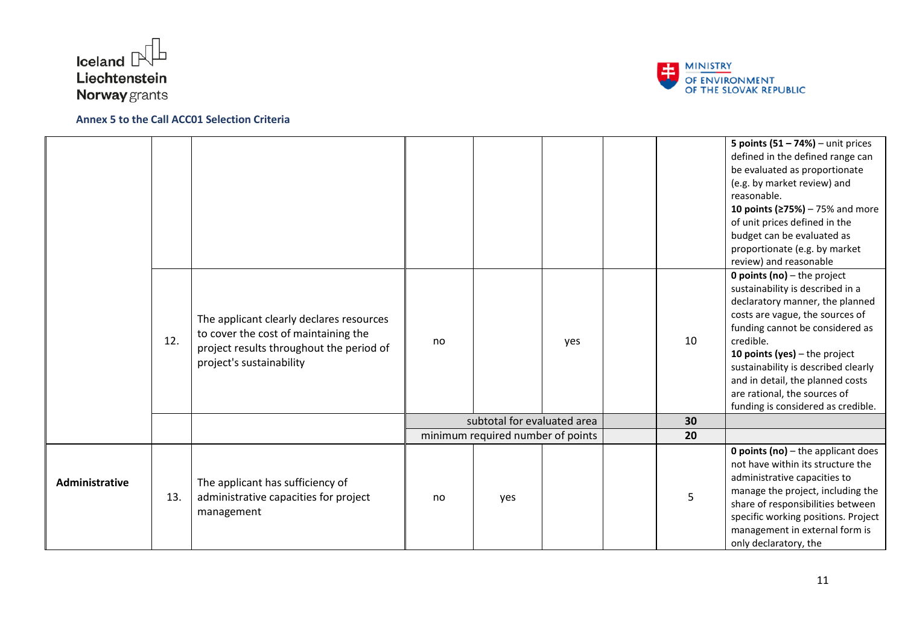



|                |     |                                                                                                                                                          |    |                                   |     |    | 5 points $(51 - 74%)$ – unit prices<br>defined in the defined range can<br>be evaluated as proportionate<br>(e.g. by market review) and<br>reasonable.<br>10 points ( $\ge$ 75%) – 75% and more<br>of unit prices defined in the<br>budget can be evaluated as<br>proportionate (e.g. by market<br>review) and reasonable                                                          |
|----------------|-----|----------------------------------------------------------------------------------------------------------------------------------------------------------|----|-----------------------------------|-----|----|------------------------------------------------------------------------------------------------------------------------------------------------------------------------------------------------------------------------------------------------------------------------------------------------------------------------------------------------------------------------------------|
|                | 12. | The applicant clearly declares resources<br>to cover the cost of maintaining the<br>project results throughout the period of<br>project's sustainability | no |                                   | yes | 10 | <b>0 points (no)</b> $-$ the project<br>sustainability is described in a<br>declaratory manner, the planned<br>costs are vague, the sources of<br>funding cannot be considered as<br>credible.<br>10 points (yes) $-$ the project<br>sustainability is described clearly<br>and in detail, the planned costs<br>are rational, the sources of<br>funding is considered as credible. |
|                |     |                                                                                                                                                          |    | subtotal for evaluated area       |     | 30 |                                                                                                                                                                                                                                                                                                                                                                                    |
|                |     |                                                                                                                                                          |    | minimum required number of points |     | 20 |                                                                                                                                                                                                                                                                                                                                                                                    |
| Administrative | 13. | The applicant has sufficiency of<br>administrative capacities for project<br>management                                                                  | no | yes                               |     | 5  | <b>0 points (no)</b> $-$ the applicant does<br>not have within its structure the<br>administrative capacities to<br>manage the project, including the<br>share of responsibilities between<br>specific working positions. Project<br>management in external form is<br>only declaratory, the                                                                                       |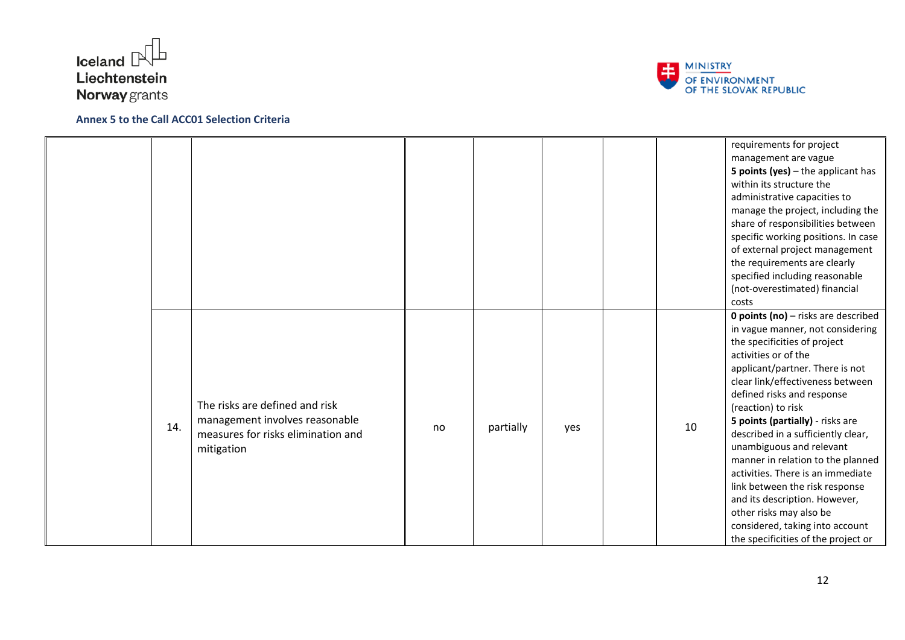



|     |                                                                                                                      |    |           |     |    | requirements for project<br>management are vague<br>5 points (yes) $-$ the applicant has<br>within its structure the<br>administrative capacities to<br>manage the project, including the<br>share of responsibilities between<br>specific working positions. In case<br>of external project management<br>the requirements are clearly<br>specified including reasonable<br>(not-overestimated) financial<br>costs<br><b>0 points (no)</b> - risks are described                                                                                                           |
|-----|----------------------------------------------------------------------------------------------------------------------|----|-----------|-----|----|-----------------------------------------------------------------------------------------------------------------------------------------------------------------------------------------------------------------------------------------------------------------------------------------------------------------------------------------------------------------------------------------------------------------------------------------------------------------------------------------------------------------------------------------------------------------------------|
| 14. | The risks are defined and risk<br>management involves reasonable<br>measures for risks elimination and<br>mitigation | no | partially | yes | 10 | in vague manner, not considering<br>the specificities of project<br>activities or of the<br>applicant/partner. There is not<br>clear link/effectiveness between<br>defined risks and response<br>(reaction) to risk<br>5 points (partially) - risks are<br>described in a sufficiently clear,<br>unambiguous and relevant<br>manner in relation to the planned<br>activities. There is an immediate<br>link between the risk response<br>and its description. However,<br>other risks may also be<br>considered, taking into account<br>the specificities of the project or |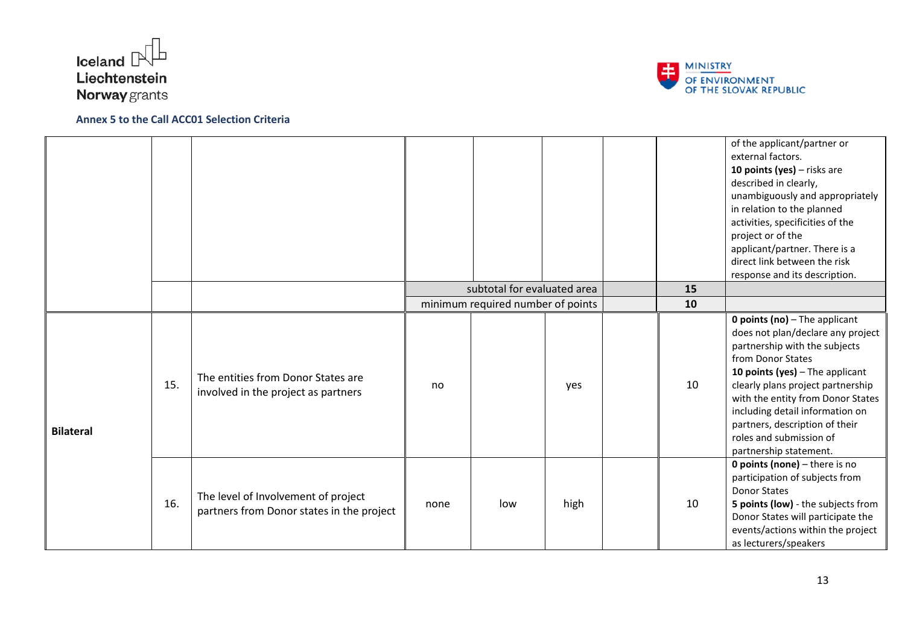



|                  |     |                                                                                  |      |                                   |      |    | of the applicant/partner or<br>external factors.<br>10 points (yes) - risks are<br>described in clearly,<br>unambiguously and appropriately<br>in relation to the planned<br>activities, specificities of the<br>project or of the<br>applicant/partner. There is a<br>direct link between the risk<br>response and its description.                                       |
|------------------|-----|----------------------------------------------------------------------------------|------|-----------------------------------|------|----|----------------------------------------------------------------------------------------------------------------------------------------------------------------------------------------------------------------------------------------------------------------------------------------------------------------------------------------------------------------------------|
|                  |     |                                                                                  |      | subtotal for evaluated area       |      | 15 |                                                                                                                                                                                                                                                                                                                                                                            |
|                  |     |                                                                                  |      | minimum required number of points |      | 10 |                                                                                                                                                                                                                                                                                                                                                                            |
| <b>Bilateral</b> | 15. | The entities from Donor States are<br>involved in the project as partners        | no   |                                   | yes  | 10 | <b>0 points (no)</b> $-$ The applicant<br>does not plan/declare any project<br>partnership with the subjects<br>from Donor States<br>10 points (yes) $-$ The applicant<br>clearly plans project partnership<br>with the entity from Donor States<br>including detail information on<br>partners, description of their<br>roles and submission of<br>partnership statement. |
|                  | 16. | The level of Involvement of project<br>partners from Donor states in the project | none | low                               | high | 10 | <b>0 points (none)</b> $-$ there is no<br>participation of subjects from<br><b>Donor States</b><br>5 points (low) - the subjects from<br>Donor States will participate the<br>events/actions within the project<br>as lecturers/speakers                                                                                                                                   |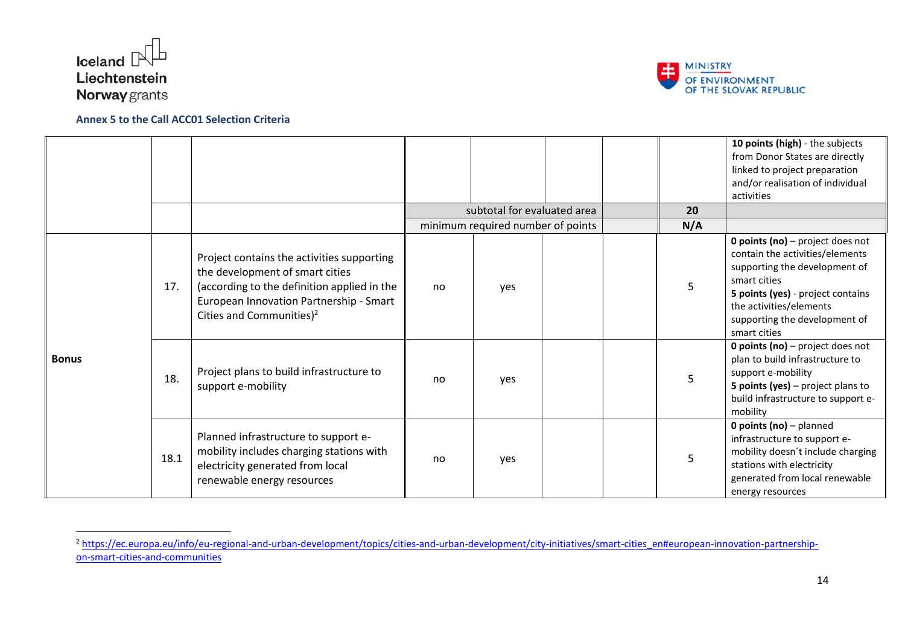

1



|              |      |                                                                                                                                                                                                                 |     |                                   |  |     | 10 points (high) - the subjects<br>from Donor States are directly<br>linked to project preparation<br>and/or realisation of individual<br>activities                                                                                         |
|--------------|------|-----------------------------------------------------------------------------------------------------------------------------------------------------------------------------------------------------------------|-----|-----------------------------------|--|-----|----------------------------------------------------------------------------------------------------------------------------------------------------------------------------------------------------------------------------------------------|
|              |      |                                                                                                                                                                                                                 |     | subtotal for evaluated area       |  | 20  |                                                                                                                                                                                                                                              |
|              |      |                                                                                                                                                                                                                 |     | minimum required number of points |  | N/A |                                                                                                                                                                                                                                              |
| <b>Bonus</b> | 17.  | Project contains the activities supporting<br>the development of smart cities<br>(according to the definition applied in the<br>European Innovation Partnership - Smart<br>Cities and Communities) <sup>2</sup> | no. | ves                               |  | 5   | <b>0 points (no)</b> – project does not<br>contain the activities/elements<br>supporting the development of<br>smart cities<br>5 points (yes) - project contains<br>the activities/elements<br>supporting the development of<br>smart cities |
|              | 18.  | Project plans to build infrastructure to<br>support e-mobility                                                                                                                                                  | no  | ves                               |  | 5   | <b>0 points (no)</b> $-$ project does not<br>plan to build infrastructure to<br>support e-mobility<br><b>5 points (yes)</b> $-$ project plans to<br>build infrastructure to support e-<br>mobility                                           |
|              | 18.1 | Planned infrastructure to support e-<br>mobility includes charging stations with<br>electricity generated from local<br>renewable energy resources                                                              | no. | yes                               |  | 5   | <b>0 points (no)</b> - planned<br>infrastructure to support e-<br>mobility doesn't include charging<br>stations with electricity<br>generated from local renewable<br>energy resources                                                       |

<sup>&</sup>lt;sup>2</sup> [https://ec.europa.eu/info/eu-regional-and-urban-development/topics/cities-and-urban-development/city-initiatives/smart-cities\\_en#european-innovation-partnership](https://ec.europa.eu/info/eu-regional-and-urban-development/topics/cities-and-urban-development/city-initiatives/smart-cities_en#european-innovation-partnership-on-smart-cities-and-communities)[on-smart-cities-and-communities](https://ec.europa.eu/info/eu-regional-and-urban-development/topics/cities-and-urban-development/city-initiatives/smart-cities_en#european-innovation-partnership-on-smart-cities-and-communities)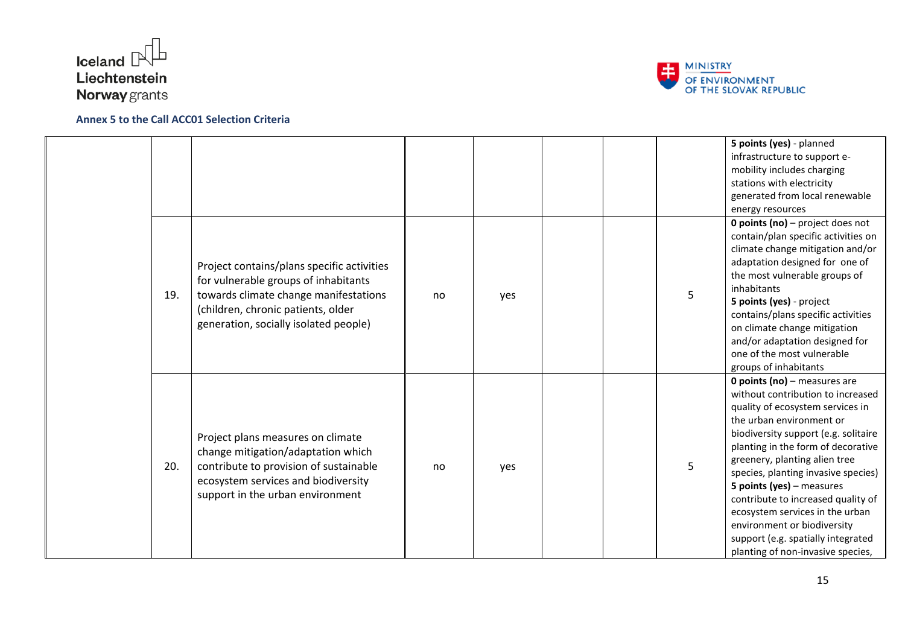



|     |                                                                                                                                                                                                            |    |     |  |   | 5 points (yes) - planned<br>infrastructure to support e-<br>mobility includes charging<br>stations with electricity<br>generated from local renewable<br>energy resources                                                                                                                                                                                                                                                                                                                                          |
|-----|------------------------------------------------------------------------------------------------------------------------------------------------------------------------------------------------------------|----|-----|--|---|--------------------------------------------------------------------------------------------------------------------------------------------------------------------------------------------------------------------------------------------------------------------------------------------------------------------------------------------------------------------------------------------------------------------------------------------------------------------------------------------------------------------|
| 19. | Project contains/plans specific activities<br>for vulnerable groups of inhabitants<br>towards climate change manifestations<br>(children, chronic patients, older<br>generation, socially isolated people) | no | yes |  | 5 | <b>0 points (no)</b> $-$ project does not<br>contain/plan specific activities on<br>climate change mitigation and/or<br>adaptation designed for one of<br>the most vulnerable groups of<br>inhabitants<br>5 points (yes) - project<br>contains/plans specific activities<br>on climate change mitigation<br>and/or adaptation designed for<br>one of the most vulnerable<br>groups of inhabitants                                                                                                                  |
| 20. | Project plans measures on climate<br>change mitigation/adaptation which<br>contribute to provision of sustainable<br>ecosystem services and biodiversity<br>support in the urban environment               | no | yes |  | 5 | <b>0 points (no)</b> $-$ measures are<br>without contribution to increased<br>quality of ecosystem services in<br>the urban environment or<br>biodiversity support (e.g. solitaire<br>planting in the form of decorative<br>greenery, planting alien tree<br>species, planting invasive species)<br>5 points (yes) $-$ measures<br>contribute to increased quality of<br>ecosystem services in the urban<br>environment or biodiversity<br>support (e.g. spatially integrated<br>planting of non-invasive species, |